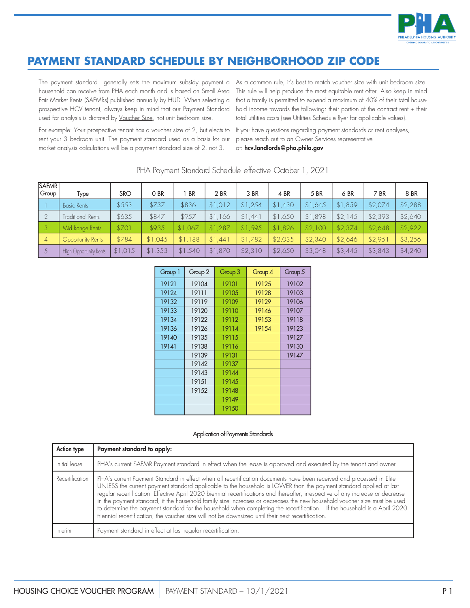

## **PAYMENT STANDARD SCHEDULE BY NEIGHBORHOOD ZIP CODE**

Fair Market Rents (SAFMRs) published annually by HUD. When selecting a prospective HCV tenant, always keep in mind that our Payment Standard used for analysis is dictated by Voucher Size, not unit bedroom size.

The payment standard generally sets the maximum subsidy payment a As a common rule, it's best to match voucher size with unit bedroom size. household can receive from PHA each month and is based on Small Area This rule will help produce the most equitable rent offer. Also keep in mind that a family is permitted to expend a maximum of 40% of their total household income towards the following: their portion of the contract rent + their total utilities costs (see Utilities Schedule flyer for applicable values).

For example: Your prospective tenant has a voucher size of 2, but elects to rent your 3 bedroom unit. The payment standard used as a basis for our market analysis calculations will be a payment standard size of 2, not 3.

If you have questions regarding payment standards or rent analyses, please reach out to an Owner Services representative at: hcv.landlords@pha.phila.gov

| <b>SAFMR</b><br>Group | Type                     | <b>SRO</b> | O BR    | <b>BR</b> | 2 BR    | 3 BR    | 4 BR    | 5 BR    | 6 BR    | 7 BR    | 8 BR    |
|-----------------------|--------------------------|------------|---------|-----------|---------|---------|---------|---------|---------|---------|---------|
|                       | <b>Basic Rents</b>       | \$553      | \$737   | \$836     | \$1,012 | \$1,254 | \$1,430 | \$1,645 | \$1,859 | \$2,074 | \$2,288 |
|                       | <b>Traditional Rents</b> | \$635      | \$847   | \$957     | \$1,166 | \$1.441 | \$1,650 | \$1,898 | \$2.145 | \$2,393 | \$2,640 |
| $\mathsf{L}$ 3        | Mid Range Rents          | \$701      | \$935   | \$1.067   | \$1,287 | \$1,595 | \$1,826 | \$2,100 | \$2.374 | \$2,648 | \$2,922 |
| $\overline{4}$        | Opportunity Rents        | \$784      | \$1.045 | \$1.188   | \$1.44] | \$1,782 | \$2.035 | \$2.340 | \$2.646 | \$2.951 | \$3,256 |
|                       | High Opportunity Rents   | \$1.015    | \$1,353 | \$1,540   | \$1,870 | \$2,310 | \$2,650 | \$3,048 | \$3,445 | \$3,843 | \$4,240 |

PHA Payment Standard Schedule effective October 1, 2021

| Group 1 | Group 2 | Group 3 | Group 4 | Group 5 |
|---------|---------|---------|---------|---------|
| 19121   | 19104   | 19101   | 19125   | 19102   |
| 19124   | 19111   | 19105   | 19128   | 19103   |
| 19132   | 19119   | 19109   | 19129   | 19106   |
| 19133   | 19120   | 19110   | 19146   | 19107   |
| 19134   | 19122   | 19112   | 19153   | 19118   |
| 19136   | 19126   | 19114   | 19154   | 19123   |
| 19140   | 19135   | 19115   |         | 19127   |
| 19141   | 19138   | 19116   |         | 19130   |
|         | 19139   | 19131   |         | 19147   |
|         | 19142   | 19137   |         |         |
|         | 19143   | 19144   |         |         |
|         | 19151   | 19145   |         |         |
|         | 19152   | 19148   |         |         |
|         |         | 19149   |         |         |
|         |         | 19150   |         |         |

## Application of Payments Standards

| <b>Action type</b> | Payment standard to apply:                                                                                                                                                                                                                                                                                                                                                                                                                                                                                                                                                                                                                                                                                                 |
|--------------------|----------------------------------------------------------------------------------------------------------------------------------------------------------------------------------------------------------------------------------------------------------------------------------------------------------------------------------------------------------------------------------------------------------------------------------------------------------------------------------------------------------------------------------------------------------------------------------------------------------------------------------------------------------------------------------------------------------------------------|
| Initial lease      | PHA's current SAFMR Payment standard in effect when the lease is approved and executed by the tenant and owner.                                                                                                                                                                                                                                                                                                                                                                                                                                                                                                                                                                                                            |
| Recertification    | PHA's current Payment Standard in effect when all recertification documents have been received and processed in Elite<br>UNLESS the current payment standard applicable to the household is LOWER than the payment standard applied at last<br>regular recertification. Effective April 2020 biennial recertifications and thereafter, irrespective of any<br>in the payment standard, if the household family size increases or decreases the new household voucher size must be used<br>to determine the payment standard for the household when completing the recertification. If the household is a April 2020<br>triennial recertification, the voucher size will not be downsized until their next recertification. |
| Interim            | Payment standard in effect at last regular recertification.                                                                                                                                                                                                                                                                                                                                                                                                                                                                                                                                                                                                                                                                |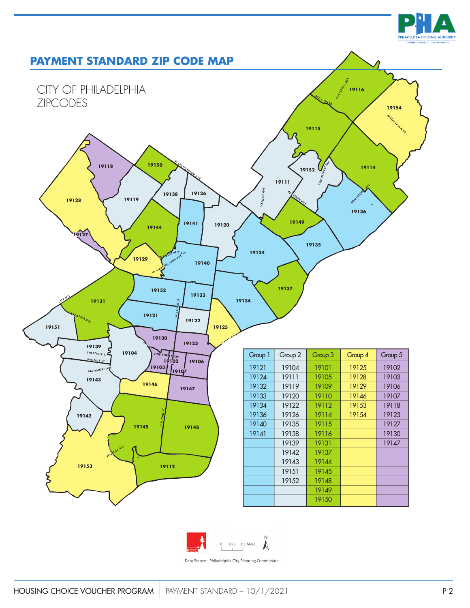





Data Source: Philadelphia City Planning Commission